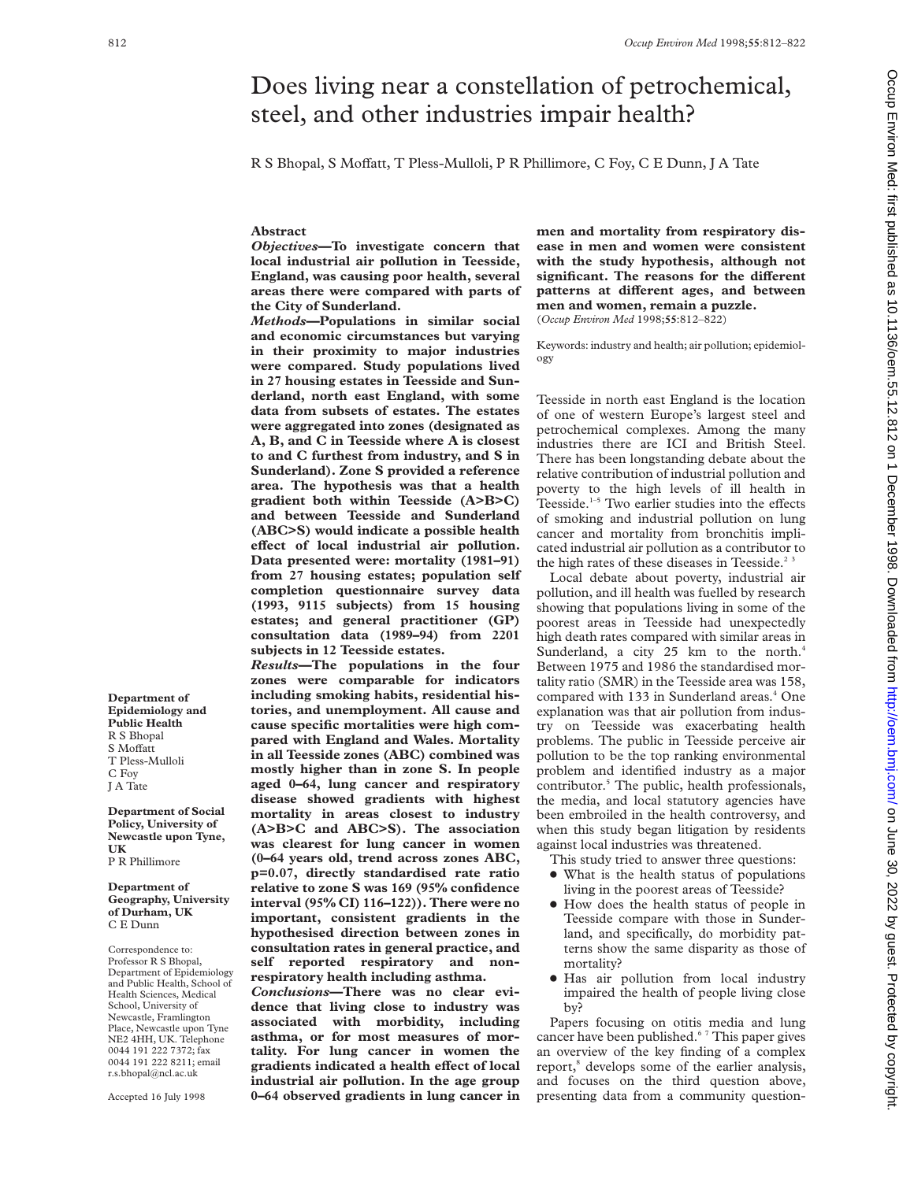# Does living near a constellation of petrochemical, steel, and other industries impair health?

R S Bhopal, S Moffatt, T Pless-Mulloli, P R Phillimore, C Foy, C E Dunn, J A Tate

## **Abstract**

*Objectives***—To investigate concern that local industrial air pollution in Teesside, England, was causing poor health, several areas there were compared with parts of the City of Sunderland.**

*Methods***—Populations in similar social and economic circumstances but varying in their proximity to major industries were compared. Study populations lived in 27 housing estates in Teesside and Sunderland, north east England, with some data from subsets of estates. The estates were aggregated into zones (designated as A, B, and C in Teesside where A is closest to and C furthest from industry, and S in Sunderland). Zone S provided a reference area. The hypothesis was that a health gradient both within Teesside (A>B>C) and between Teesside and Sunderland (ABC>S) would indicate a possible health eVect of local industrial air pollution. Data presented were: mortality (1981–91) from 27 housing estates; population self completion questionnaire survey data (1993, 9115 subjects) from 15 housing estates; and general practitioner (GP) consultation data (1989–94) from 2201 subjects in 12 Teesside estates.**

*Results***—The populations in the four zones were comparable for indicators including smoking habits, residential histories, and unemployment. All cause and cause specific mortalities were high compared with England and Wales. Mortality in all Teesside zones (ABC) combined was mostly higher than in zone S. In people aged 0–64, lung cancer and respiratory disease showed gradients with highest mortality in areas closest to industry (A>B>C and ABC>S). The association was clearest for lung cancer in women (0–64 years old, trend across zones ABC, p=0.07, directly standardised rate ratio relative to zone S was 169 (95% confidence interval (95% CI) 116–122)). There were no important, consistent gradients in the hypothesised direction between zones in consultation rates in general practice, and self reported respiratory and nonrespiratory health including asthma.**

*Conclusions***—There was no clear evidence that living close to industry was associated with morbidity, including asthma, or for most measures of mortality. For lung cancer in women the** gradients indicated a health effect of local **industrial air pollution. In the age group 0–64 observed gradients in lung cancer in** **men and mortality from respiratory disease in men and women were consistent with the study hypothesis, although not**  $significant$ . The reasons for the different patterns at different ages, and between **men and women, remain a puzzle.** (*Occup Environ Med* 1998;**55**:812–822)

Keywords: industry and health; air pollution; epidemiology

Teesside in north east England is the location of one of western Europe's largest steel and petrochemical complexes. Among the many industries there are ICI and British Steel. There has been longstanding debate about the relative contribution of industrial pollution and poverty to the high levels of ill health in Teesside. $1-5$  Two earlier studies into the effects of smoking and industrial pollution on lung cancer and mortality from bronchitis implicated industrial air pollution as a contributor to the high rates of these diseases in Teesside.<sup>2 3</sup>

Local debate about poverty, industrial air pollution, and ill health was fuelled by research showing that populations living in some of the poorest areas in Teesside had unexpectedly high death rates compared with similar areas in Sunderland, a city 25 km to the north.<sup>4</sup> Between 1975 and 1986 the standardised mortality ratio (SMR) in the Teesside area was 158, compared with 133 in Sunderland areas.<sup>4</sup> One explanation was that air pollution from industry on Teesside was exacerbating health problems. The public in Teesside perceive air pollution to be the top ranking environmental problem and identified industry as a major contributor.<sup>5</sup> The public, health professionals, the media, and local statutory agencies have been embroiled in the health controversy, and when this study began litigation by residents against local industries was threatened.

- This study tried to answer three questions:
- What is the health status of populations living in the poorest areas of Teesside?
- How does the health status of people in Teesside compare with those in Sunderland, and specifically, do morbidity patterns show the same disparity as those of mortality?
- Has air pollution from local industry impaired the health of people living close by?

Papers focusing on otitis media and lung cancer have been published.<sup>67</sup> This paper gives an overview of the key finding of a complex report,<sup>8</sup> develops some of the earlier analysis, and focuses on the third question above, presenting data from a community question-

**Department of Epidemiology and Public Health** R S Bhopal S Moffatt T Pless-Mulloli C Foy J A Tate

**Department of Social Policy, University of Newcastle upon Tyne, UK** P R Phillimore

**Department of Geography, University of Durham, UK** C E Dunn

Correspondence to: Professor R S Bhopal, Department of Epidemiology and Public Health, School of Health Sciences, Medical School, University of Newcastle, Framlington Place, Newcastle upon Tyne NE2 4HH, UK. Telephone 0044 191 222 7372; fax 0044 191 222 8211; email r.s.bhopal@ncl.ac.uk

Accepted 16 July 1998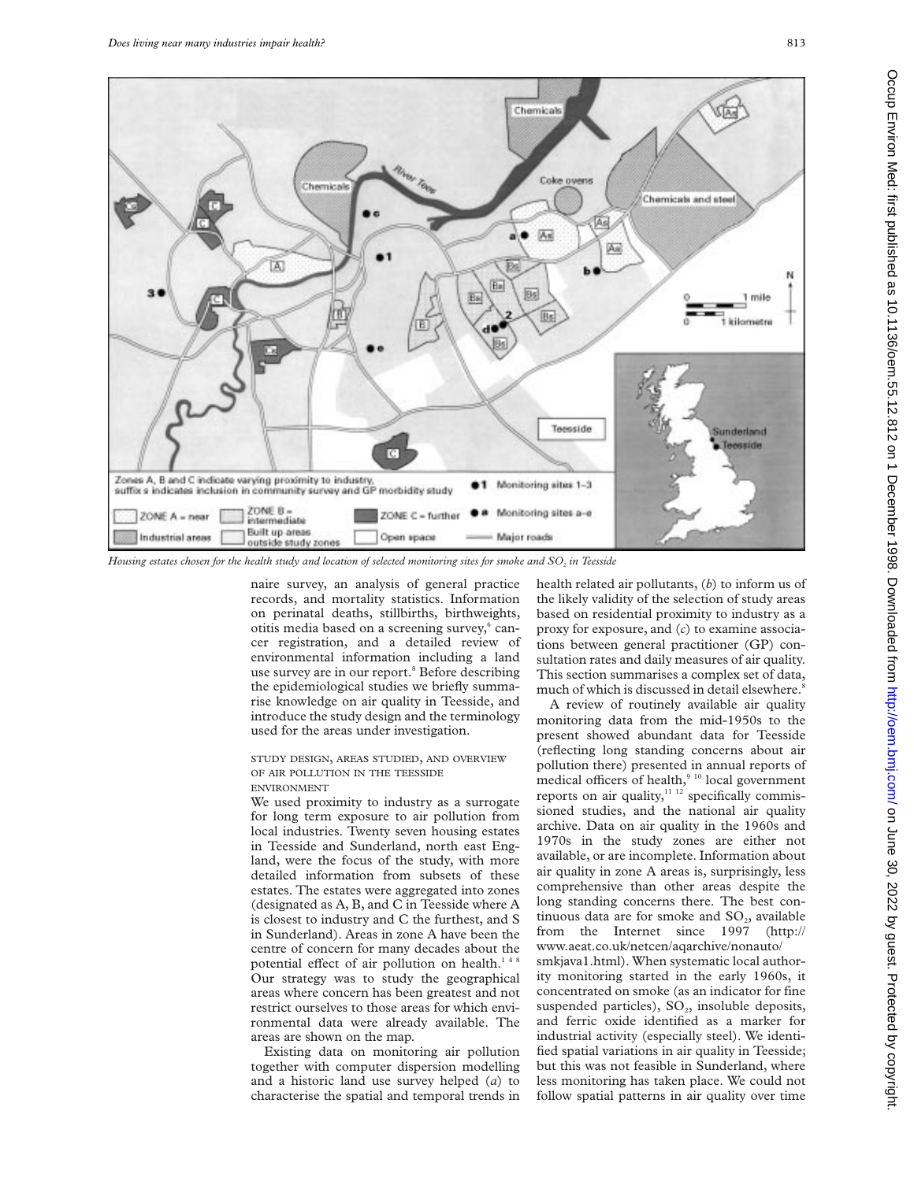

*Housing estates chosen for the health study and location of selected monitoring sites for smoke and SO2 in Teesside*

naire survey, an analysis of general practice records, and mortality statistics. Information on perinatal deaths, stillbirths, birthweights, otitis media based on a screening survey,<sup>6</sup> cancer registration, and a detailed review of environmental information including a land use survey are in our report.<sup>8</sup> Before describing the epidemiological studies we briefly summarise knowledge on air quality in Teesside, and introduce the study design and the terminology used for the areas under investigation.

# STUDY DESIGN, AREAS STUDIED, AND OVERVIEW OF AIR POLLUTION IN THE TEESSIDE

ENVIRONMENT

We used proximity to industry as a surrogate for long term exposure to air pollution from local industries. Twenty seven housing estates in Teesside and Sunderland, north east England, were the focus of the study, with more detailed information from subsets of these estates. The estates were aggregated into zones (designated as A, B, and C in Teesside where A is closest to industry and C the furthest, and S in Sunderland). Areas in zone A have been the centre of concern for many decades about the potential effect of air pollution on health.<sup>148</sup> Our strategy was to study the geographical areas where concern has been greatest and not restrict ourselves to those areas for which environmental data were already available. The areas are shown on the map.

Existing data on monitoring air pollution together with computer dispersion modelling and a historic land use survey helped (*a*) to characterise the spatial and temporal trends in

health related air pollutants, (*b*) to inform us of the likely validity of the selection of study areas based on residential proximity to industry as a proxy for exposure, and (*c*) to examine associations between general practitioner (GP) consultation rates and daily measures of air quality. This section summarises a complex set of data, much of which is discussed in detail elsewhere.<sup>8</sup>

A review of routinely available air quality monitoring data from the mid-1950s to the present showed abundant data for Teesside (reflecting long standing concerns about air pollution there) presented in annual reports of medical officers of health,<sup>9 10</sup> local government reports on air quality,<sup>11-12</sup> specifically commissioned studies, and the national air quality archive. Data on air quality in the 1960s and 1970s in the study zones are either not available, or are incomplete. Information about air quality in zone A areas is, surprisingly, less comprehensive than other areas despite the long standing concerns there. The best continuous data are for smoke and  $SO_2$ , available from the Internet since 1997 (http:// www.aeat.co.uk/netcen/aqarchive/nonauto/

smkjava1.html). When systematic local authority monitoring started in the early 1960s, it concentrated on smoke (as an indicator for fine suspended particles),  $SO_2$ , insoluble deposits, and ferric oxide identified as a marker for industrial activity (especially steel). We identified spatial variations in air quality in Teesside; but this was not feasible in Sunderland, where less monitoring has taken place. We could not follow spatial patterns in air quality over time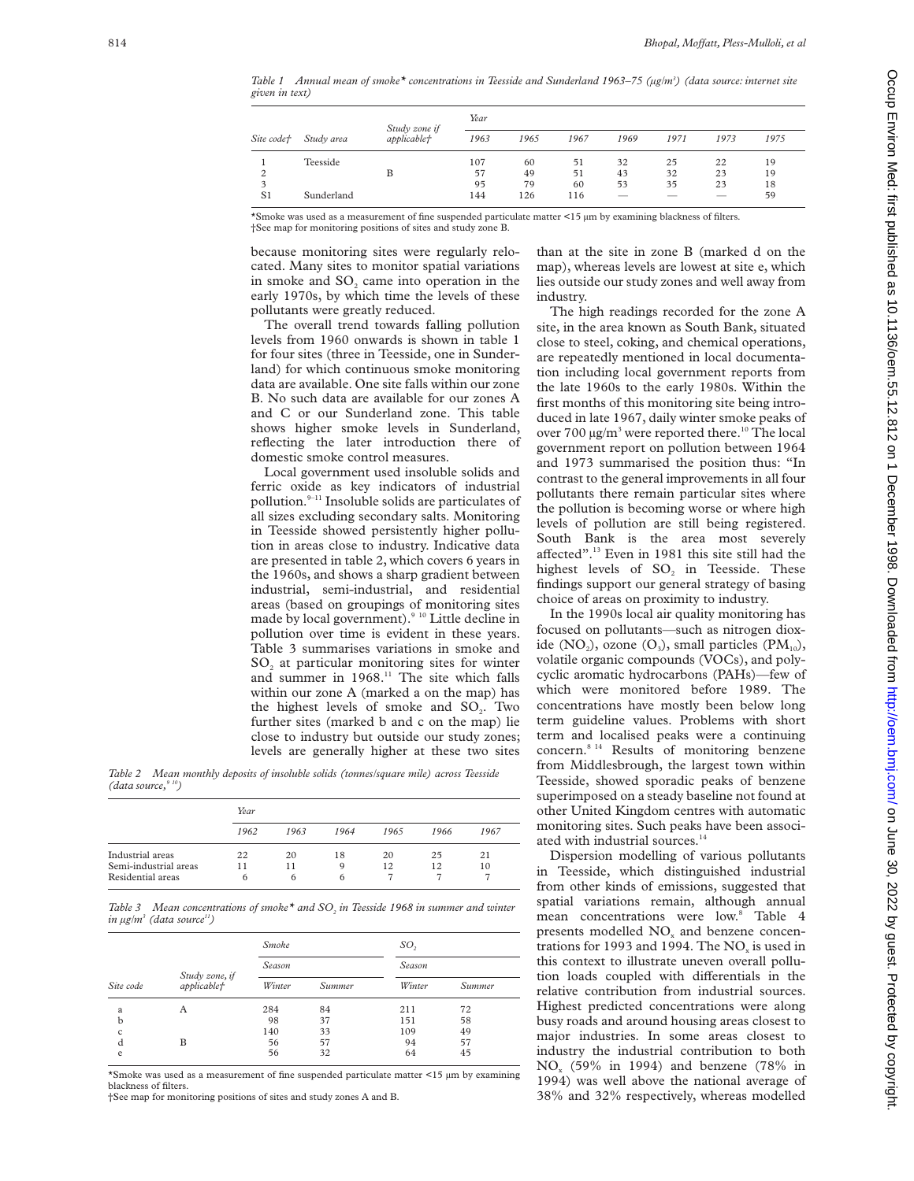*Table 1 Annual mean of smoke\* concentrations in Teesside and Sunderland 1963–75 (µg/m3 ) (data source: internet site given in text)*

|            | Study area | Study zone if      | Year |      |      |      |      |      |      |  |  |  |  |  |
|------------|------------|--------------------|------|------|------|------|------|------|------|--|--|--|--|--|
| Site code† |            | <i>applicable†</i> | 1963 | 1965 | 1967 | 1969 | 1971 | 1973 | 1975 |  |  |  |  |  |
|            | Teesside   |                    | 107  | 60   | 51   | 32   | 25   | 22   | 19   |  |  |  |  |  |
| 2          |            | в                  | 57   | 49   | 51   | 43   | 32   | 23   | 19   |  |  |  |  |  |
|            |            |                    | 95   | 79   | 60   | 53   | 35   | 23   | 18   |  |  |  |  |  |
| S1         | Sunderland |                    | 144  | 126  | 116  |      |      |      | 59   |  |  |  |  |  |

\*Smoke was used as a measurement of fine suspended particulate matter <15 µm by examining blackness of filters. †See map for monitoring positions of sites and study zone B.

because monitoring sites were regularly relocated. Many sites to monitor spatial variations in smoke and SO<sub>2</sub> came into operation in the early 1970s, by which time the levels of these pollutants were greatly reduced.

The overall trend towards falling pollution levels from 1960 onwards is shown in table 1 for four sites (three in Teesside, one in Sunderland) for which continuous smoke monitoring data are available. One site falls within our zone B. No such data are available for our zones A and C or our Sunderland zone. This table shows higher smoke levels in Sunderland, reflecting the later introduction there of domestic smoke control measures.

Local government used insoluble solids and ferric oxide as key indicators of industrial pollution.9–11 Insoluble solids are particulates of all sizes excluding secondary salts. Monitoring in Teesside showed persistently higher pollution in areas close to industry. Indicative data are presented in table 2, which covers 6 years in the 1960s, and shows a sharp gradient between industrial, semi-industrial, and residential areas (based on groupings of monitoring sites made by local government).<sup>9 10</sup> Little decline in pollution over time is evident in these years. Table 3 summarises variations in smoke and  $SO<sub>2</sub>$  at particular monitoring sites for winter and summer in 1968.<sup>11</sup> The site which falls within our zone A (marked a on the map) has the highest levels of smoke and  $SO<sub>2</sub>$ . Two further sites (marked b and c on the map) lie close to industry but outside our study zones; levels are generally higher at these two sites

*Table 2 Mean monthly deposits of insoluble solids (tonnes/square mile) across Teesside (data source,9 10)*

|                                            | Year |         |      |      |      |      |
|--------------------------------------------|------|---------|------|------|------|------|
|                                            | 1962 | 1963    | 1964 | 1965 | 1966 | 1967 |
| Industrial areas                           | 22   | 20      | 18   | 20   | 25   | 21   |
| Semi-industrial areas<br>Residential areas | 11   | 11<br>h | Q    | 12   | 12   | 10   |

*Table 3* Mean concentrations of smoke<sup>\*</sup> and SO<sub>2</sub> in Teesside 1968 in summer and winter  $in$   $\mu$ g/m<sup>3</sup> (data source<sup>11</sup>)

|           |                                | <b>Smoke</b> |        | SO <sub>2</sub> |        |  |  |  |  |
|-----------|--------------------------------|--------------|--------|-----------------|--------|--|--|--|--|
|           |                                | Season       |        | Season          |        |  |  |  |  |
| Site code | Study zone, if<br>applicable f | Winter       | Summer | Winter          | Summer |  |  |  |  |
| a         | А                              | 284          | 84     | 211             | 72     |  |  |  |  |
| b         |                                | 98           | 37     | 151             | 58     |  |  |  |  |
| c         |                                | 140          | 33     | 109             | 49     |  |  |  |  |
| d         | B                              | 56           | 57     | 94              | 57     |  |  |  |  |
| e         |                                | 56           | 32     | 64              | 45     |  |  |  |  |

\*Smoke was used as a measurement of fine suspended particulate matter <15 µm by examining blackness of filters.

†See map for monitoring positions of sites and study zones A and B.

than at the site in zone B (marked d on the map), whereas levels are lowest at site e, which lies outside our study zones and well away from industry.

The high readings recorded for the zone A site, in the area known as South Bank, situated close to steel, coking, and chemical operations, are repeatedly mentioned in local documentation including local government reports from the late 1960s to the early 1980s. Within the first months of this monitoring site being introduced in late 1967, daily winter smoke peaks of over 700 µg/m<sup>3</sup> were reported there.<sup>10</sup> The local government report on pollution between 1964 and 1973 summarised the position thus: "In contrast to the general improvements in all four pollutants there remain particular sites where the pollution is becoming worse or where high levels of pollution are still being registered. South Bank is the area most severely affected".<sup>13</sup> Even in 1981 this site still had the highest levels of SO<sub>2</sub> in Teesside. These findings support our general strategy of basing choice of areas on proximity to industry.

In the 1990s local air quality monitoring has focused on pollutants—such as nitrogen dioxide (NO<sub>2</sub>), ozone (O<sub>3</sub>), small particles (PM<sub>10</sub>), volatile organic compounds (VOCs), and polycyclic aromatic hydrocarbons (PAHs)—few of which were monitored before 1989. The concentrations have mostly been below long term guideline values. Problems with short term and localised peaks were a continuing concern.<sup>8 14</sup> Results of monitoring benzene from Middlesbrough, the largest town within Teesside, showed sporadic peaks of benzene superimposed on a steady baseline not found at other United Kingdom centres with automatic monitoring sites. Such peaks have been associated with industrial sources.<sup>14</sup>

Dispersion modelling of various pollutants in Teesside, which distinguished industrial from other kinds of emissions, suggested that spatial variations remain, although annual mean concentrations were low.<sup>8</sup> Table 4 presents modelled NO<sub>y</sub> and benzene concentrations for 1993 and 1994. The  $NO<sub>x</sub>$  is used in this context to illustrate uneven overall pollution loads coupled with differentials in the relative contribution from industrial sources. Highest predicted concentrations were along busy roads and around housing areas closest to major industries. In some areas closest to industry the industrial contribution to both  $NO<sub>x</sub>$  (59% in 1994) and benzene (78% in 1994) was well above the national average of 38% and 32% respectively, whereas modelled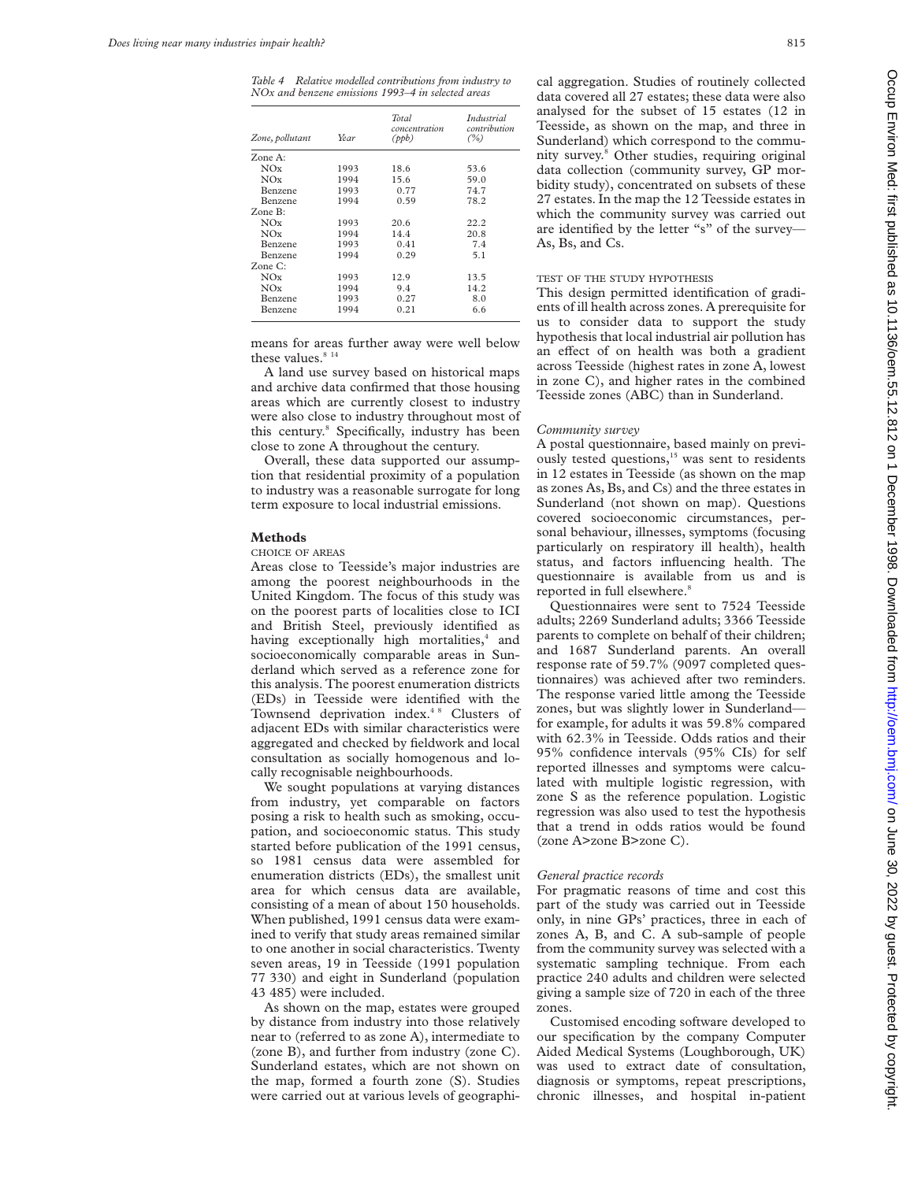*Table 4 Relative modelled contributions from industry to NOx and benzene emissions 1993–4 in selected areas*

| Year | <b>Total</b><br>concentration<br>(ppb) | <i>Industrial</i><br>contribution<br>(%) |
|------|----------------------------------------|------------------------------------------|
|      |                                        |                                          |
| 1993 | 18.6                                   | 53.6                                     |
| 1994 | 15.6                                   | 59.0                                     |
| 1993 | 0.77                                   | 74.7                                     |
| 1994 | 0.59                                   | 78.2                                     |
|      |                                        |                                          |
| 1993 | 20.6                                   | 22.2                                     |
| 1994 | 14.4                                   | 20.8                                     |
| 1993 | 0.41                                   | 7.4                                      |
| 1994 | 0.29                                   | 5.1                                      |
|      |                                        |                                          |
| 1993 | 12.9                                   | 13.5                                     |
| 1994 | 9.4                                    | 14.2                                     |
| 1993 | 0.27                                   | 8.0                                      |
| 1994 | 0.21                                   | 6.6                                      |
|      |                                        |                                          |

means for areas further away were well below these values. $814$ 

A land use survey based on historical maps and archive data confirmed that those housing areas which are currently closest to industry were also close to industry throughout most of this century.8 Specifically, industry has been close to zone A throughout the century.

Overall, these data supported our assumption that residential proximity of a population to industry was a reasonable surrogate for long term exposure to local industrial emissions.

#### **Methods**

#### CHOICE OF AREAS

Areas close to Teesside's major industries are among the poorest neighbourhoods in the United Kingdom. The focus of this study was on the poorest parts of localities close to ICI and British Steel, previously identified as having exceptionally high mortalities, $4$  and socioeconomically comparable areas in Sunderland which served as a reference zone for this analysis. The poorest enumeration districts (EDs) in Teesside were identified with the Townsend deprivation index.<sup>48</sup> Clusters of adjacent EDs with similar characteristics were aggregated and checked by fieldwork and local consultation as socially homogenous and locally recognisable neighbourhoods.

We sought populations at varying distances from industry, yet comparable on factors posing a risk to health such as smoking, occupation, and socioeconomic status. This study started before publication of the 1991 census, so 1981 census data were assembled for enumeration districts (EDs), the smallest unit area for which census data are available, consisting of a mean of about 150 households. When published, 1991 census data were examined to verify that study areas remained similar to one another in social characteristics. Twenty seven areas, 19 in Teesside (1991 population 77 330) and eight in Sunderland (population 43 485) were included.

As shown on the map, estates were grouped by distance from industry into those relatively near to (referred to as zone A), intermediate to (zone B), and further from industry (zone C). Sunderland estates, which are not shown on the map, formed a fourth zone (S). Studies were carried out at various levels of geographical aggregation. Studies of routinely collected data covered all 27 estates; these data were also analysed for the subset of 15 estates (12 in Teesside, as shown on the map, and three in Sunderland) which correspond to the community survey.8 Other studies, requiring original data collection (community survey, GP morbidity study), concentrated on subsets of these 27 estates. In the map the 12 Teesside estates in which the community survey was carried out are identified by the letter "s" of the survey— As, Bs, and Cs.

## TEST OF THE STUDY HYPOTHESIS

This design permitted identification of gradients of ill health across zones. A prerequisite for us to consider data to support the study hypothesis that local industrial air pollution has an effect of on health was both a gradient across Teesside (highest rates in zone A, lowest in zone C), and higher rates in the combined Teesside zones (ABC) than in Sunderland.

#### *Community survey*

A postal questionnaire, based mainly on previously tested questions,<sup>15</sup> was sent to residents in 12 estates in Teesside (as shown on the map as zones As, Bs, and Cs) and the three estates in Sunderland (not shown on map). Questions covered socioeconomic circumstances, personal behaviour, illnesses, symptoms (focusing particularly on respiratory ill health), health status, and factors influencing health. The questionnaire is available from us and is reported in full elsewhere.<sup>8</sup>

Questionnaires were sent to 7524 Teesside adults; 2269 Sunderland adults; 3366 Teesside parents to complete on behalf of their children; and 1687 Sunderland parents. An overall response rate of 59.7% (9097 completed questionnaires) was achieved after two reminders. The response varied little among the Teesside zones, but was slightly lower in Sunderland for example, for adults it was 59.8% compared with 62.3% in Teesside. Odds ratios and their 95% confidence intervals (95% CIs) for self reported illnesses and symptoms were calculated with multiple logistic regression, with zone S as the reference population. Logistic regression was also used to test the hypothesis that a trend in odds ratios would be found (zone A>zone B>zone C).

#### *General practice records*

For pragmatic reasons of time and cost this part of the study was carried out in Teesside only, in nine GPs' practices, three in each of zones A, B, and C. A sub-sample of people from the community survey was selected with a systematic sampling technique. From each practice 240 adults and children were selected giving a sample size of 720 in each of the three zones.

Customised encoding software developed to our specification by the company Computer Aided Medical Systems (Loughborough, UK) was used to extract date of consultation, diagnosis or symptoms, repeat prescriptions, chronic illnesses, and hospital in-patient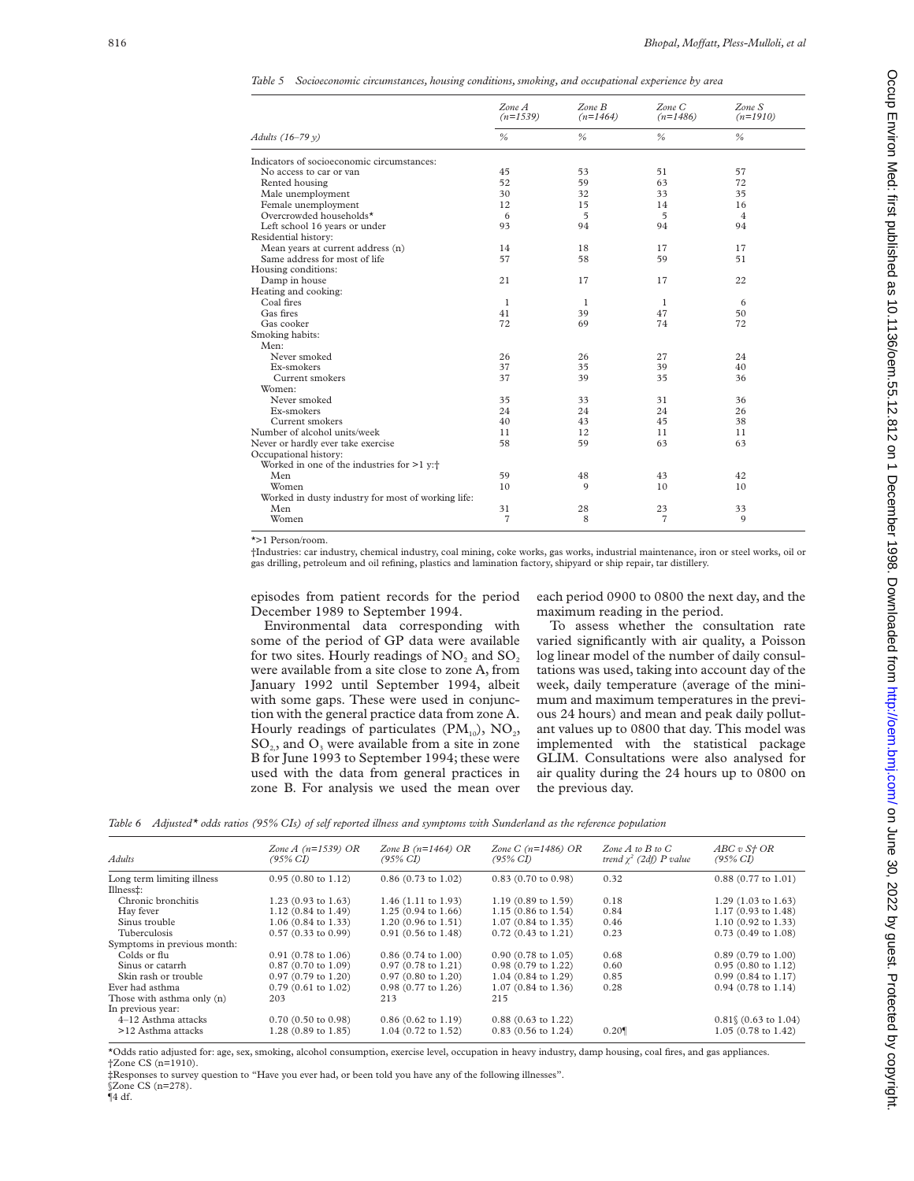*Table 5 Socioeconomic circumstances, housing conditions, smoking, and occupational experience by area*

|                                                       | ZoneA<br>$(n=1539)$ | $Zone$ $B$<br>$(n=1464)$ | $Zone$ $C$<br>$(n=1486)$ | ZoneS<br>$(n=1910)$ |
|-------------------------------------------------------|---------------------|--------------------------|--------------------------|---------------------|
| Adults (16-79 y)                                      | $\frac{0}{6}$       | %                        | $\frac{0}{6}$            | %                   |
| Indicators of socioeconomic circumstances:            |                     |                          |                          |                     |
| No access to car or van                               | 45                  | 53                       | 51                       | 57                  |
| Rented housing                                        | 52                  | 59                       | 63                       | 72                  |
| Male unemployment                                     | 30                  | 32                       | 33                       | 35                  |
| Female unemployment                                   | 12                  | 15                       | 14                       | 16                  |
| Overcrowded households*                               | 6                   | $\overline{5}$           | 5                        | $\overline{4}$      |
| Left school 16 years or under                         | 93                  | 94                       | 94                       | 94                  |
| Residential history:                                  |                     |                          |                          |                     |
| Mean years at current address (n)                     | 14                  | 18                       | 17                       | 17                  |
| Same address for most of life                         | 57                  | 58                       | 59                       | 51                  |
| Housing conditions:                                   |                     |                          |                          |                     |
| Damp in house                                         | 21                  | 17                       | 17                       | 22                  |
| Heating and cooking:                                  |                     |                          |                          |                     |
| Coal fires                                            | 1                   | $\mathbf{1}$             | -1                       | 6                   |
| Gas fires                                             | 41                  | 39                       | 47                       | 50                  |
| Gas cooker                                            | 72                  | 69                       | 74                       | 72                  |
| Smoking habits:                                       |                     |                          |                          |                     |
| Men:                                                  |                     |                          |                          |                     |
| Never smoked                                          | 26                  | 26                       | 27                       | 24                  |
| Ex-smokers                                            | 37                  | 35                       | 39                       | 40                  |
| Current smokers                                       | 37                  | 39                       | 35                       | 36                  |
| Women:                                                |                     |                          |                          |                     |
| Never smoked                                          | 35                  | 33                       | 31                       | 36                  |
| Ex-smokers                                            | 24                  | 24                       | 24                       | 26                  |
| Current smokers                                       | 40                  | 43                       | 45                       | 38                  |
| Number of alcohol units/week                          | 11                  | 12                       | 11                       | 11                  |
| Never or hardly ever take exercise                    | 58                  | 59                       | 63                       | 63                  |
| Occupational history:                                 |                     |                          |                          |                     |
| Worked in one of the industries for $>1$ y: $\dagger$ |                     |                          |                          |                     |
| Men                                                   | 59                  | 48                       | 43                       | 42                  |
| Women                                                 | 10                  | 9                        | 10                       | 10                  |
| Worked in dusty industry for most of working life:    |                     |                          |                          |                     |
| Men                                                   | 31                  | 28                       | 23                       | 33                  |
| Women                                                 | $\overline{7}$      | 8                        | $\overline{7}$           | 9                   |

 $\overline{t}$  >1 Person/room.

†Industries: car industry, chemical industry, coal mining, coke works, gas works, industrial maintenance, iron or steel works, oil or gas drilling, petroleum and oil refining, plastics and lamination factory, shipyard or ship repair, tar distillery.

episodes from patient records for the period December 1989 to September 1994.

Environmental data corresponding with some of the period of GP data were available for two sites. Hourly readings of  $NO<sub>2</sub>$  and  $SO<sub>2</sub>$ were available from a site close to zone A, from January 1992 until September 1994, albeit with some gaps. These were used in conjunction with the general practice data from zone A. Hourly readings of particulates  $(PM_{10})$ , NO<sub>2</sub>,  $SO<sub>2</sub>$ , and  $O<sub>3</sub>$  were available from a site in zone B for June 1993 to September 1994; these were used with the data from general practices in zone B. For analysis we used the mean over each period 0900 to 0800 the next day, and the maximum reading in the period.

To assess whether the consultation rate varied significantly with air quality, a Poisson log linear model of the number of daily consultations was used, taking into account day of the week, daily temperature (average of the minimum and maximum temperatures in the previous 24 hours) and mean and peak daily pollutant values up to 0800 that day. This model was implemented with the statistical package GLIM. Consultations were also analysed for air quality during the 24 hours up to 0800 on the previous day.

|  | Table 6 Adjusted* odds ratios (95% CIs) of self reported illness and symptoms with Sunderland as the reference population |  |  |  |  |  |  |  |  |  |  |  |  |  |  |  |  |  |  |  |
|--|---------------------------------------------------------------------------------------------------------------------------|--|--|--|--|--|--|--|--|--|--|--|--|--|--|--|--|--|--|--|
|--|---------------------------------------------------------------------------------------------------------------------------|--|--|--|--|--|--|--|--|--|--|--|--|--|--|--|--|--|--|--|

| Adults                      | Zone $A(n=1539)$ OR<br>(95% CI) | Zone B $(n=1464)$ OR<br>(95% CI) | <i>Zone C (n=1486) OR</i><br>$(95\% \text{ CI})$ | Zone $A$ to $B$ to $C$<br>trend $\chi^2$ (2df) P value | ABC v S <sub>t</sub> OR<br>$(95\% \text{ CI})$ |
|-----------------------------|---------------------------------|----------------------------------|--------------------------------------------------|--------------------------------------------------------|------------------------------------------------|
| Long term limiting illness  | $0.95(0.80 \text{ to } 1.12)$   | $0.86$ (0.73 to 1.02)            | $0.83$ (0.70 to 0.98)                            | 0.32                                                   | $0.88$ (0.77 to 1.01)                          |
| Illness‡:                   |                                 |                                  |                                                  |                                                        |                                                |
| Chronic bronchitis          | $1.23$ (0.93 to 1.63)           | $1.46$ (1.11 to 1.93)            | $1.19(0.89 \text{ to } 1.59)$                    | 0.18                                                   | $1.29$ (1.03 to 1.63)                          |
| Hay fever                   | $1.12(0.84 \text{ to } 1.49)$   | $1.25(0.94 \text{ to } 1.66)$    | $1.15(0.86 \text{ to } 1.54)$                    | 0.84                                                   | 1.17 (0.93 to 1.48)                            |
| Sinus trouble               | $1.06$ (0.84 to 1.33)           | $1.20(0.96 \text{ to } 1.51)$    | $1.07$ (0.84 to 1.35)                            | 0.46                                                   | $1.10$ (0.92 to 1.33)                          |
| Tuberculosis                | $0.57$ (0.33 to 0.99)           | $0.91$ (0.56 to 1.48)            | $0.72$ (0.43 to 1.21)                            | 0.23                                                   | $0.73$ (0.49 to 1.08)                          |
| Symptoms in previous month: |                                 |                                  |                                                  |                                                        |                                                |
| Colds or flu                | $0.91(0.78 \text{ to } 1.06)$   | $0.86$ (0.74 to 1.00)            | $0.90(0.78 \text{ to } 1.05)$                    | 0.68                                                   | $0.89(0.79 \text{ to } 1.00)$                  |
| Sinus or catarrh            | $0.87$ (0.70 to 1.09)           | $0.97$ (0.78 to 1.21)            | $0.98$ (0.79 to 1.22)                            | 0.60                                                   | $0.95(0.80 \text{ to } 1.12)$                  |
| Skin rash or trouble        | $0.97$ (0.79 to 1.20)           | $0.97$ (0.80 to 1.20)            | 1.04 (0.84 to 1.29)                              | 0.85                                                   | $0.99$ (0.84 to 1.17)                          |
| Ever had asthma             | $0.79$ (0.61 to 1.02)           | $0.98$ (0.77 to 1.26)            | $1.07(0.84 \text{ to } 1.36)$                    | 0.28                                                   | $0.94$ (0.78 to 1.14)                          |
| Those with asthma only (n)  | 203                             | 213                              | 215                                              |                                                        |                                                |
| In previous year:           |                                 |                                  |                                                  |                                                        |                                                |
| 4-12 Asthma attacks         | $0.70$ (0.50 to 0.98)           | $0.86$ (0.62 to 1.19)            | $0.88$ (0.63 to 1.22)                            |                                                        | $0.81\%$ (0.63 to 1.04)                        |
| >12 Asthma attacks          | 1.28 (0.89 to 1.85)             | 1.04 (0.72 to 1.52)              | $0.83$ (0.56 to 1.24)                            | 0.20                                                   | $1.05$ (0.78 to 1.42)                          |

\*Odds ratio adjusted for: age, sex, smoking, alcohol consumption, exercise level, occupation in heavy industry, damp housing, coal fires, and gas appliances. †Zone CS (n=1910).

‡Responses to survey question to "Have you ever had, or been told you have any of the following illnesses". §Zone CS (n=278).

 $\P$ 4 df.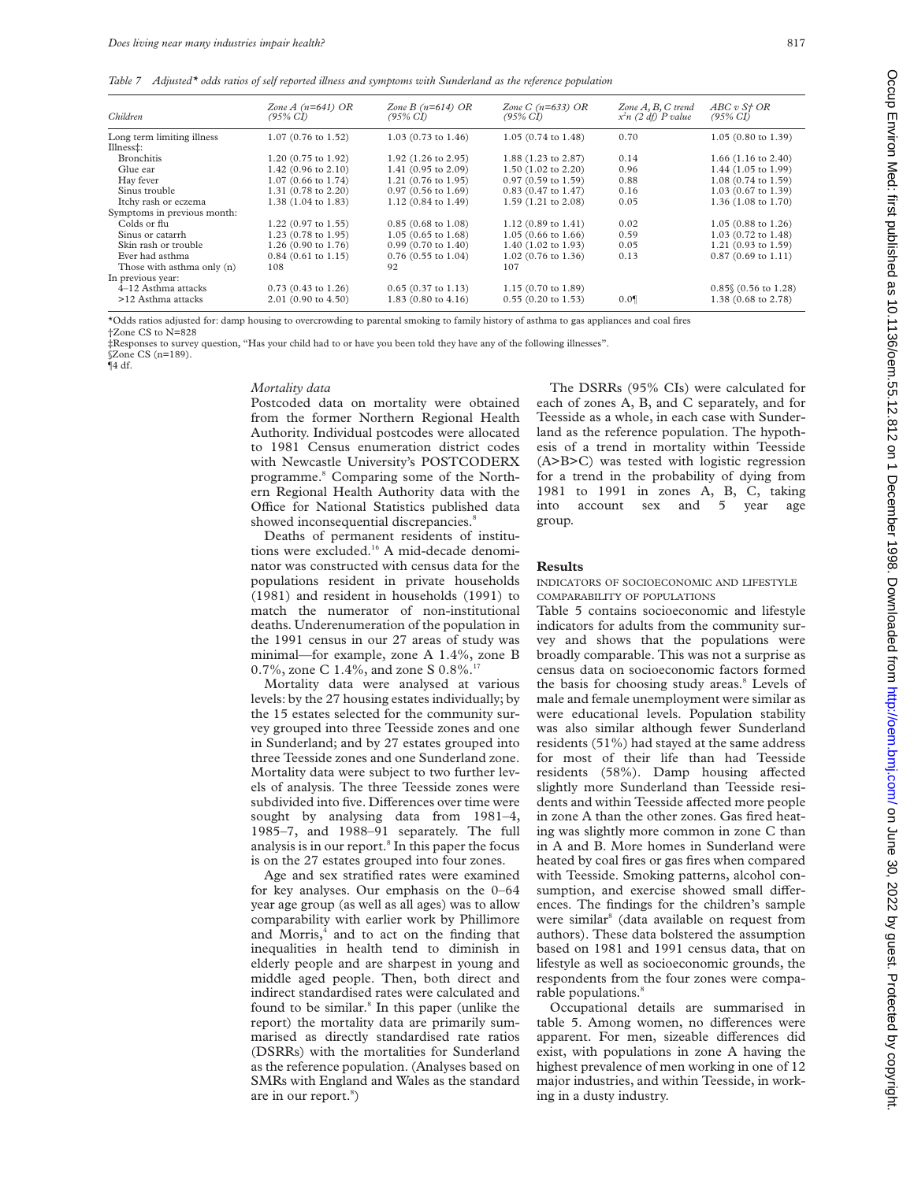*Table 7 Adjusted\* odds ratios of self reported illness and symptoms with Sunderland as the reference population*

| Children                    | Zone $A(n=641)$ OR<br>$(95\% \text{ CI})$ | Zone B $(n=614)$ OR<br>$(95\% \text{ CI})$ | Zone C $(n=633)$ OR<br>(95% CI) | Zone $A, B, C$ trend<br>$x^2n$ (2 df) P value | ABC v S <sub>f</sub> OR<br>$(95\% \text{ CI})$ |
|-----------------------------|-------------------------------------------|--------------------------------------------|---------------------------------|-----------------------------------------------|------------------------------------------------|
| Long term limiting illness  | 1.07 (0.76 to 1.52)                       | $1.03$ (0.73 to 1.46)                      | $1.05(0.74 \text{ to } 1.48)$   | 0.70                                          | $1.05(0.80 \text{ to } 1.39)$                  |
| Illness‡:                   |                                           |                                            |                                 |                                               |                                                |
| <b>Bronchitis</b>           | 1.20 (0.75 to 1.92)                       | $1.92$ (1.26 to 2.95)                      | 1.88 (1.23 to 2.87)             | 0.14                                          | $1.66$ (1.16 to 2.40)                          |
| Glue ear                    | $1.42$ (0.96 to 2.10)                     | 1.41 (0.95 to 2.09)                        | 1.50 (1.02 to 2.20)             | 0.96                                          | 1.44 (1.05 to 1.99)                            |
| Hay fever                   | 1.07 (0.66 to 1.74)                       | $1.21$ (0.76 to 1.95)                      | $0.97(0.59 \text{ to } 1.59)$   | 0.88                                          | 1.08 (0.74 to 1.59)                            |
| Sinus trouble               | 1.31 (0.78 to 2.20)                       | $0.97(0.56 \text{ to } 1.69)$              | $0.83$ (0.47 to 1.47)           | 0.16                                          | $1.03(0.67 \text{ to } 1.39)$                  |
| Itchy rash or eczema        | 1.38 (1.04 to 1.83)                       | $1.12(0.84 \text{ to } 1.49)$              | 1.59 (1.21 to 2.08)             | 0.05                                          | 1.36 (1.08 to 1.70)                            |
| Symptoms in previous month: |                                           |                                            |                                 |                                               |                                                |
| Colds or flu                | $1.22$ (0.97 to 1.55)                     | $0.85(0.68 \text{ to } 1.08)$              | $1.12(0.89 \text{ to } 1.41)$   | 0.02                                          | $1.05(0.88 \text{ to } 1.26)$                  |
| Sinus or catarrh            | $1.23$ (0.78 to 1.95)                     | $1.05(0.65 \text{ to } 1.68)$              | $1.05(0.66 \text{ to } 1.66)$   | 0.59                                          | $1.03$ (0.72 to 1.48)                          |
| Skin rash or trouble        | $1.26(0.90 \text{ to } 1.76)$             | $0.99(0.70 \text{ to } 1.40)$              | $1.40$ (1.02 to 1.93)           | 0.05                                          | 1.21 $(0.93 \text{ to } 1.59)$                 |
| Ever had asthma             | $0.84$ (0.61 to 1.15)                     | $0.76$ (0.55 to 1.04)                      | $1.02$ (0.76 to 1.36)           | 0.13                                          | $0.87(0.69 \text{ to } 1.11)$                  |
| Those with asthma only (n)  | 108                                       | 92                                         | 107                             |                                               |                                                |
| In previous year:           |                                           |                                            |                                 |                                               |                                                |
| 4-12 Asthma attacks         | $0.73$ (0.43 to 1.26)                     | $0.65$ (0.37 to 1.13)                      | $1.15(0.70 \text{ to } 1.89)$   |                                               | $0.85$ (0.56 to 1.28)                          |
| >12 Asthma attacks          | 2.01 (0.90 to 4.50)                       | $1.83(0.80 \text{ to } 4.16)$              | $0.55$ (0.20 to 1.53)           | 0.0                                           | 1.38 (0.68 to 2.78)                            |

\*Odds ratios adjusted for: damp housing to overcrowding to parental smoking to family history of asthma to gas appliances and coal fires †Zone CS to N=828

‡Responses to survey question, "Has your child had to or have you been told they have any of the following illnesses".

§Zone CS (n=189).  $\P$ 4 df.

#### *Mortality data*

Postcoded data on mortality were obtained from the former Northern Regional Health Authority. Individual postcodes were allocated to 1981 Census enumeration district codes with Newcastle University's POSTCODERX programme.8 Comparing some of the Northern Regional Health Authority data with the Office for National Statistics published data showed inconsequential discrepancies.<sup>8</sup>

Deaths of permanent residents of institutions were excluded.<sup>16</sup> A mid-decade denominator was constructed with census data for the populations resident in private households (1981) and resident in households (1991) to match the numerator of non-institutional deaths. Underenumeration of the population in the 1991 census in our 27 areas of study was minimal—for example, zone A 1.4%, zone B 0.7%, zone C 1.4%, and zone S  $0.8\%$ .<sup>1</sup>

Mortality data were analysed at various levels: by the 27 housing estates individually; by the 15 estates selected for the community survey grouped into three Teesside zones and one in Sunderland; and by 27 estates grouped into three Teesside zones and one Sunderland zone. Mortality data were subject to two further levels of analysis. The three Teesside zones were subdivided into five. Differences over time were sought by analysing data from 1981–4, 1985–7, and 1988–91 separately. The full analysis is in our report.8 In this paper the focus is on the 27 estates grouped into four zones.

Age and sex stratified rates were examined for key analyses. Our emphasis on the 0–64 year age group (as well as all ages) was to allow comparability with earlier work by Phillimore and Morris,<sup>4</sup> and to act on the finding that inequalities in health tend to diminish in elderly people and are sharpest in young and middle aged people. Then, both direct and indirect standardised rates were calculated and found to be similar.<sup>8</sup> In this paper (unlike the report) the mortality data are primarily summarised as directly standardised rate ratios (DSRRs) with the mortalities for Sunderland as the reference population. (Analyses based on SMRs with England and Wales as the standard are in our report.<sup>8</sup>)

The DSRRs (95% CIs) were calculated for each of zones A, B, and C separately, and for Teesside as a whole, in each case with Sunderland as the reference population. The hypothesis of a trend in mortality within Teesside (A>B>C) was tested with logistic regression for a trend in the probability of dying from 1981 to 1991 in zones A, B, C, taking into account sex and 5 year age group.

#### **Results**

INDICATORS OF SOCIOECONOMIC AND LIFESTYLE COMPARABILITY OF POPULATIONS

Table 5 contains socioeconomic and lifestyle indicators for adults from the community survey and shows that the populations were broadly comparable. This was not a surprise as census data on socioeconomic factors formed the basis for choosing study areas.<sup>8</sup> Levels of male and female unemployment were similar as were educational levels. Population stability was also similar although fewer Sunderland residents (51%) had stayed at the same address for most of their life than had Teesside residents (58%). Damp housing affected slightly more Sunderland than Teesside residents and within Teesside affected more people in zone A than the other zones. Gas fired heating was slightly more common in zone C than in A and B. More homes in Sunderland were heated by coal fires or gas fires when compared with Teesside. Smoking patterns, alcohol consumption, and exercise showed small differences. The findings for the children's sample were similar<sup>8</sup> (data available on request from authors). These data bolstered the assumption based on 1981 and 1991 census data, that on lifestyle as well as socioeconomic grounds, the respondents from the four zones were comparable populations.<sup>8</sup>

Occupational details are summarised in table 5. Among women, no differences were apparent. For men, sizeable differences did exist, with populations in zone A having the highest prevalence of men working in one of 12 major industries, and within Teesside, in working in a dusty industry.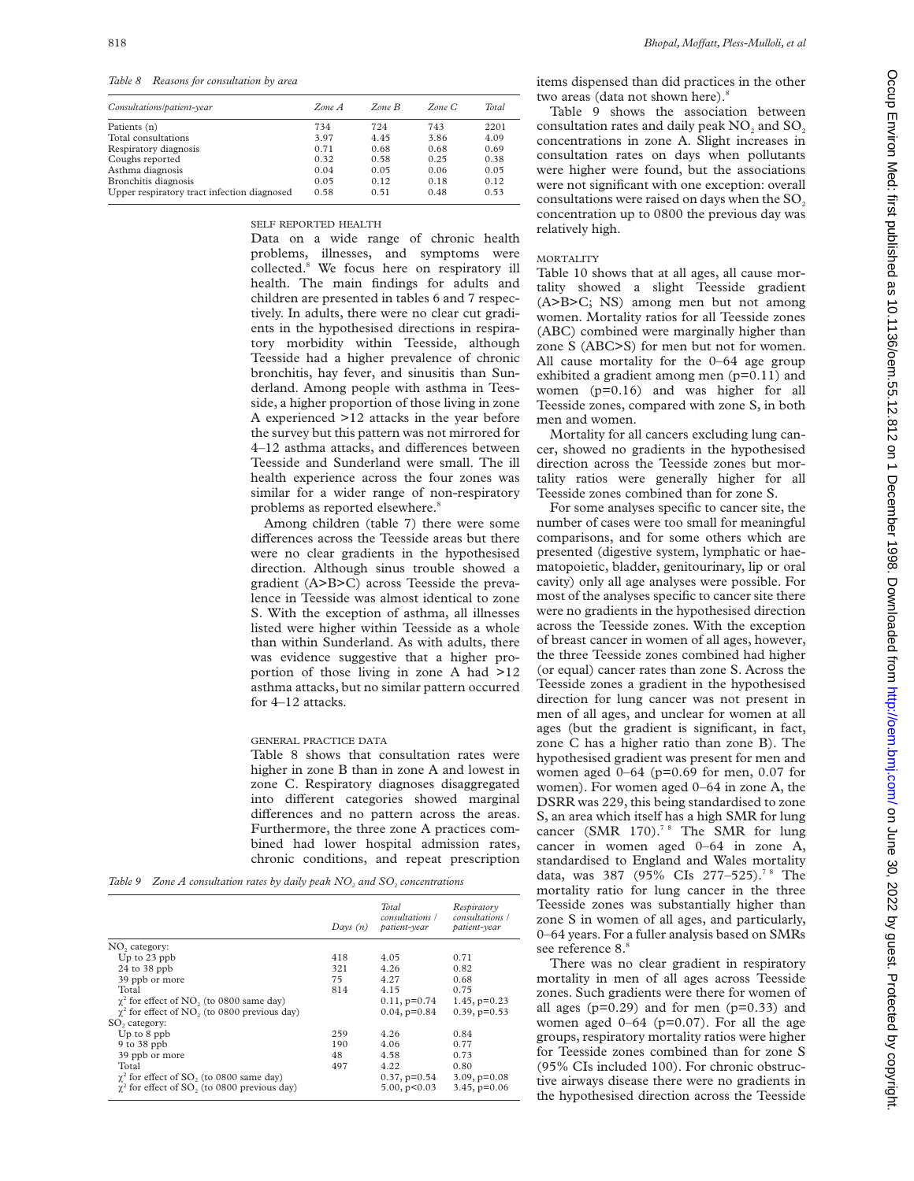*Table 8 Reasons for consultation by area*

| Consultations/patient-year                  | Zone A | $Zone$ $B$ | Zone C | <b>Total</b> |
|---------------------------------------------|--------|------------|--------|--------------|
| Patients (n)                                | 734    | 724        | 743    | 2201         |
| Total consultations                         | 3.97   | 4.45       | 3.86   | 4.09         |
| Respiratory diagnosis                       | 0.71   | 0.68       | 0.68   | 0.69         |
| Coughs reported                             | 0.32   | 0.58       | 0.25   | 0.38         |
| Asthma diagnosis                            | 0.04   | 0.05       | 0.06   | 0.05         |
| Bronchitis diagnosis                        | 0.05   | 0.12       | 0.18   | 0.12         |
| Upper respiratory tract infection diagnosed | 0.58   | 0.51       | 0.48   | 0.53         |

SELF REPORTED HEALTH

Data on a wide range of chronic health problems, illnesses, and symptoms were collected.8 We focus here on respiratory ill health. The main findings for adults and children are presented in tables 6 and 7 respectively. In adults, there were no clear cut gradients in the hypothesised directions in respiratory morbidity within Teesside, although Teesside had a higher prevalence of chronic bronchitis, hay fever, and sinusitis than Sunderland. Among people with asthma in Teesside, a higher proportion of those living in zone A experienced >12 attacks in the year before the survey but this pattern was not mirrored for 4-12 asthma attacks, and differences between Teesside and Sunderland were small. The ill health experience across the four zones was similar for a wider range of non-respiratory problems as reported elsewhere.<sup>8</sup>

Among children (table 7) there were some differences across the Teesside areas but there were no clear gradients in the hypothesised direction. Although sinus trouble showed a gradient (A>B>C) across Teesside the prevalence in Teesside was almost identical to zone S. With the exception of asthma, all illnesses listed were higher within Teesside as a whole than within Sunderland. As with adults, there was evidence suggestive that a higher proportion of those living in zone A had >12 asthma attacks, but no similar pattern occurred for 4–12 attacks.

## GENERAL PRACTICE DATA

Table 8 shows that consultation rates were higher in zone B than in zone A and lowest in zone C. Respiratory diagnoses disaggregated into different categories showed marginal differences and no pattern across the areas. Furthermore, the three zone A practices combined had lower hospital admission rates, chronic conditions, and repeat prescription

| Table 9 Zone A consultation rates by daily peak $NO2$ and $SO2$ concentrations |  |
|--------------------------------------------------------------------------------|--|
|--------------------------------------------------------------------------------|--|

|                                                                 | Days $(n)$ | <b>Total</b><br>consultations /<br>patient-year | Respiratory<br>consultations /<br>patient-year |
|-----------------------------------------------------------------|------------|-------------------------------------------------|------------------------------------------------|
| NO <sub>2</sub> category:                                       |            |                                                 |                                                |
| Up to 23 ppb                                                    | 418        | 4.05                                            | 0.71                                           |
| $24$ to $38$ ppb                                                | 321        | 4.26                                            | 0.82                                           |
| 39 ppb or more                                                  | 75         | 4.27                                            | 0.68                                           |
| Total                                                           | 814        | 4.15                                            | 0.75                                           |
| $\chi^2$ for effect of NO, (to 0800 same day)                   |            | $0.11, p=0.74$                                  | $1.45$ , $p=0.23$                              |
| $\gamma^2$ for effect of NO <sub>2</sub> (to 0800 previous day) |            | $0.04$ , $p=0.84$                               | $0.39, p=0.53$                                 |
| SO <sub>2</sub> category:                                       |            |                                                 |                                                |
| Up to 8 ppb                                                     | 259        | 4.26                                            | 0.84                                           |
| $9$ to $38$ ppb                                                 | 190        | 4.06                                            | 0.77                                           |
| 39 ppb or more                                                  | 48         | 4.58                                            | 0.73                                           |
| Total                                                           | 497        | 4.22                                            | 0.80                                           |
| $\gamma^2$ for effect of SO <sub>2</sub> (to 0800 same day)     |            | $0.37, p=0.54$                                  | $3.09$ , $p=0.08$                              |
| $\gamma^2$ for effect of SO <sub>2</sub> (to 0800 previous day) |            | 5.00, p<0.03                                    | $3.45, p=0.06$                                 |

items dispensed than did practices in the other two areas (data not shown here).<sup>8</sup>

Table 9 shows the association between consultation rates and daily peak NO<sub>2</sub> and SO<sub>2</sub> concentrations in zone A. Slight increases in consultation rates on days when pollutants were higher were found, but the associations were not significant with one exception: overall consultations were raised on days when the SO<sub>2</sub> concentration up to 0800 the previous day was relatively high.

#### MORTALITY

Table 10 shows that at all ages, all cause mortality showed a slight Teesside gradient (A>B>C; NS) among men but not among women. Mortality ratios for all Teesside zones (ABC) combined were marginally higher than zone S (ABC>S) for men but not for women. All cause mortality for the 0–64 age group exhibited a gradient among men (p=0.11) and women (p=0.16) and was higher for all Teesside zones, compared with zone S, in both men and women.

Mortality for all cancers excluding lung cancer, showed no gradients in the hypothesised direction across the Teesside zones but mortality ratios were generally higher for all Teesside zones combined than for zone S.

For some analyses specific to cancer site, the number of cases were too small for meaningful comparisons, and for some others which are presented (digestive system, lymphatic or haematopoietic, bladder, genitourinary, lip or oral cavity) only all age analyses were possible. For most of the analyses specific to cancer site there were no gradients in the hypothesised direction across the Teesside zones. With the exception of breast cancer in women of all ages, however, the three Teesside zones combined had higher (or equal) cancer rates than zone S. Across the Teesside zones a gradient in the hypothesised direction for lung cancer was not present in men of all ages, and unclear for women at all ages (but the gradient is significant, in fact, zone C has a higher ratio than zone B). The hypothesised gradient was present for men and women aged  $0-64$  (p=0.69 for men, 0.07 for women). For women aged 0–64 in zone A, the DSRR was 229, this being standardised to zone S, an area which itself has a high SMR for lung cancer (SMR 170).<sup>78</sup> The SMR for lung cancer in women aged 0–64 in zone A, standardised to England and Wales mortality data, was 387 (95% CIs 277-525).<sup>78</sup> The mortality ratio for lung cancer in the three Teesside zones was substantially higher than zone S in women of all ages, and particularly, 0–64 years. For a fuller analysis based on SMRs see reference 8.8

There was no clear gradient in respiratory mortality in men of all ages across Teesside zones. Such gradients were there for women of all ages  $(p=0.29)$  and for men  $(p=0.33)$  and women aged  $0-64$  (p=0.07). For all the age groups, respiratory mortality ratios were higher for Teesside zones combined than for zone S (95% CIs included 100). For chronic obstructive airways disease there were no gradients in the hypothesised direction across the Teesside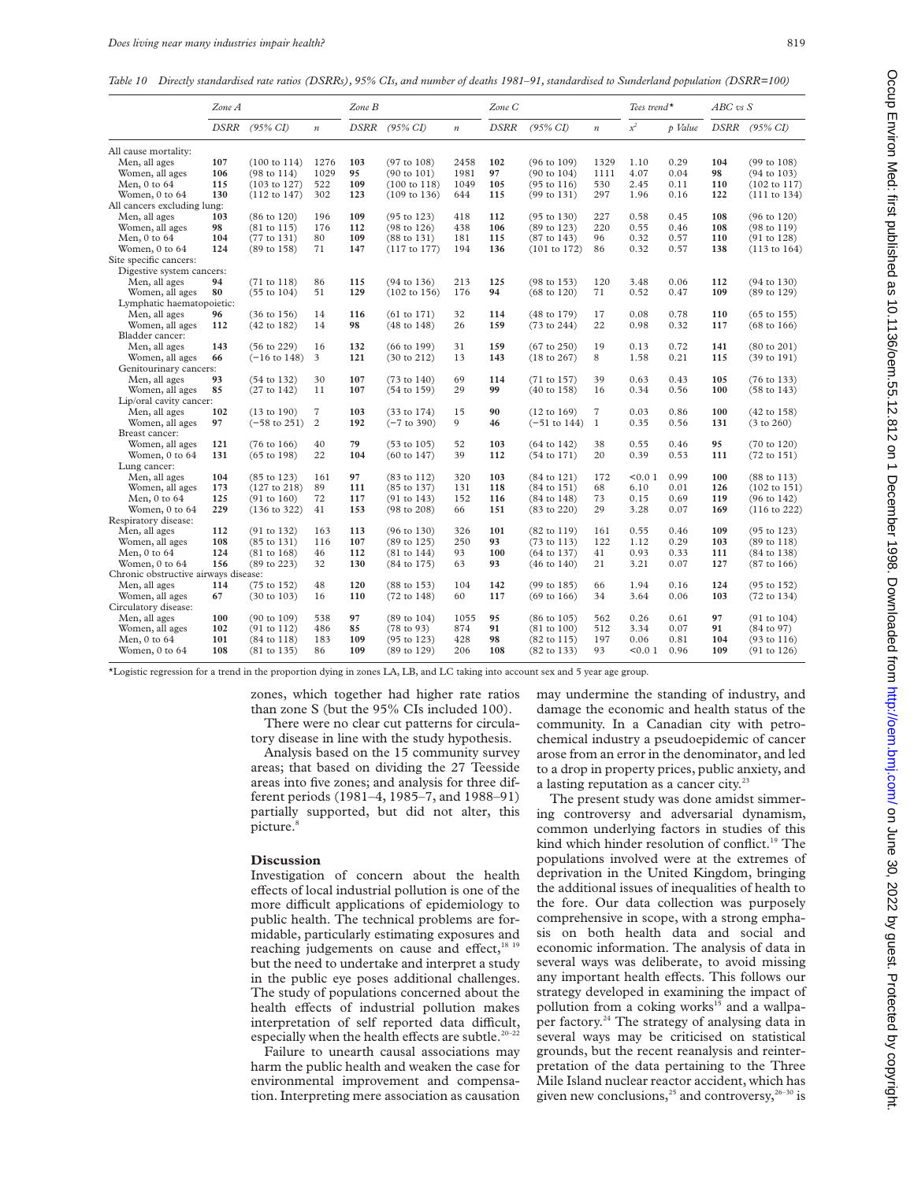*Table 10 Directly standardised rate ratios (DSRRs), 95% CIs, and number of deaths 1981–91, standardised to Sunderland population (DSRR=100)*

|                                      | Zone A |                         |                  | Zone B |                         |                  | Zone C      |                         |                  | Tees trend <sup>*</sup> |         | ABC vs S |                         |
|--------------------------------------|--------|-------------------------|------------------|--------|-------------------------|------------------|-------------|-------------------------|------------------|-------------------------|---------|----------|-------------------------|
|                                      | DSRR   | $(95\% \text{ CI})$     | $\boldsymbol{n}$ | DSRR   | $(95\% \text{ CI})$     | $\boldsymbol{n}$ | <b>DSRR</b> | $(95\% \text{ CI})$     | $\boldsymbol{n}$ | $x^2$                   | p Value |          | DSRR (95% CI)           |
| All cause mortality:                 |        |                         |                  |        |                         |                  |             |                         |                  |                         |         |          |                         |
| Men, all ages                        | 107    | $(100 \text{ to } 114)$ | 1276             | 103    | $(97$ to $108)$         | 2458             | 102         | $(96 \text{ to } 109)$  | 1329             | 1.10                    | 0.29    | 104      | (99 to 108)             |
| Women, all ages                      | 106    | $(98 \text{ to } 114)$  | 1029             | 95     | $(90 \text{ to } 101)$  | 1981             | 97          | $(90 \text{ to } 104)$  | 1111             | 4.07                    | 0.04    | 98       | $(94 \text{ to } 103)$  |
| Men, 0 to 64                         | 115    | $(103 \text{ to } 127)$ | 522              | 109    | $(100 \text{ to } 118)$ | 1049             | 105         | $(95 \text{ to } 116)$  | 530              | 2.45                    | 0.11    | 110      | $(102 \text{ to } 117)$ |
| Women, 0 to 64                       | 130    | $(112 \text{ to } 147)$ | 302              | 123    | $(109 \text{ to } 136)$ | 644              | 115         | $(99 \text{ to } 131)$  | 297              | 1.96                    | 0.16    | 122      | (111 to 134)            |
| All cancers excluding lung:          |        |                         |                  |        |                         |                  |             |                         |                  |                         |         |          |                         |
| Men, all ages                        | 103    | $(86 \text{ to } 120)$  | 196              | 109    | $(95 \text{ to } 123)$  | 418              | 112         | $(95 \text{ to } 130)$  | 227              | 0.58                    | 0.45    | 108      | $(96 \text{ to } 120)$  |
| Women, all ages                      | 98     | $(81 \text{ to } 115)$  | 176              | 112    | $(98 \text{ to } 126)$  | 438              | 106         | (89 to 123)             | 220              | 0.55                    | 0.46    | 108      | $(98 \text{ to } 119)$  |
| Men, 0 to 64                         | 104    | $(77 \text{ to } 131)$  | 80               | 109    | $(88 \text{ to } 131)$  | 181              | 115         | $(87 \text{ to } 143)$  | 96               | 0.32                    | 0.57    | 110      | (91 to 128)             |
| Women, 0 to 64                       | 124    | $(89 \text{ to } 158)$  | 71               | 147    | (117 to 177)            | 194              | 136         | (101 to 172)            | 86               | 0.32                    | 0.57    | 138      | $(113 \text{ to } 164)$ |
| Site specific cancers:               |        |                         |                  |        |                         |                  |             |                         |                  |                         |         |          |                         |
| Digestive system cancers:            |        |                         |                  |        |                         |                  |             |                         |                  |                         |         |          |                         |
| Men, all ages                        | 94     | (71 to 118)             | 86               | 115    | $(94 \text{ to } 136)$  | 213              | 125         | (98 to 153)             | 120              | 3.48                    | 0.06    | 112      | $(94 \text{ to } 130)$  |
| Women, all ages                      | 80     | $(55 \text{ to } 104)$  | 51               | 129    | $(102 \text{ to } 156)$ | 176              | 94          | $(68 \text{ to } 120)$  | 71               | 0.52                    | 0.47    | 109      | (89 to 129)             |
| Lymphatic haematopoietic:            |        |                         |                  |        |                         |                  |             |                         |                  |                         |         |          |                         |
| Men, all ages                        | 96     | $(36 \text{ to } 156)$  | 14               | 116    | $(61 \text{ to } 171)$  | 32               | 114         | (48 to 179)             | 17               | 0.08                    | 0.78    | 110      | $(65 \text{ to } 155)$  |
| Women, all ages                      | 112    | $(42 \text{ to } 182)$  | 14               | 98     | $(48 \text{ to } 148)$  | 26               | 159         | $(73 \text{ to } 244)$  | 22               | 0.98                    | 0.32    | 117      | $(68 \text{ to } 166)$  |
| Bladder cancer:                      |        |                         |                  |        |                         |                  |             |                         |                  |                         |         |          |                         |
| Men, all ages                        | 143    | $(56 \text{ to } 229)$  | 16               | 132    | $(66 \text{ to } 199)$  | 31               | 159         | $(67 \text{ to } 250)$  | 19               | 0.13                    | 0.72    | 141      | $(80 \text{ to } 201)$  |
| Women, all ages                      | 66     | $(-16 \text{ to } 148)$ | 3                | 121    | $(30 \text{ to } 212)$  | 13               | 143         | $(18 \text{ to } 267)$  | 8                | 1.58                    | 0.21    | 115      | $(39 \text{ to } 191)$  |
| Genitourinary cancers:               |        |                         |                  |        |                         |                  |             |                         |                  |                         |         |          |                         |
| Men, all ages                        | 93     | $(54 \text{ to } 132)$  | 30               | 107    | $(73 \text{ to } 140)$  | 69               | 114         | (71 to 157)             | 39               | 0.63                    | 0.43    | 105      | $(76 \text{ to } 133)$  |
| Women, all ages                      | 85     | $(27 \text{ to } 142)$  | 11               | 107    | $(54 \text{ to } 159)$  | 29               | 99          | $(40 \text{ to } 158)$  | 16               | 0.34                    | 0.56    | 100      | $(58 \text{ to } 143)$  |
| Lip/oral cavity cancer:              |        |                         |                  |        |                         |                  |             |                         |                  |                         |         |          |                         |
| Men, all ages                        | 102    | $(13 \text{ to } 190)$  | $\overline{7}$   | 103    | $(33 \text{ to } 174)$  | 15               | 90          | $(12 \text{ to } 169)$  | $\overline{7}$   | 0.03                    | 0.86    | 100      | (42 to 158)             |
| Women, all ages                      | 97     | $(-58 \text{ to } 251)$ | $\overline{c}$   | 192    | $(-7 \text{ to } 390)$  | $\mathbf Q$      | 46          | $(-51 \text{ to } 144)$ | 1                | 0.35                    | 0.56    | 131      | (3 to 260)              |
| Breast cancer:                       |        |                         |                  |        |                         |                  |             |                         |                  |                         |         |          |                         |
| Women, all ages                      | 121    | $(76 \text{ to } 166)$  | 40               | 79     | $(53 \text{ to } 105)$  | 52               | 103         | $(64 \text{ to } 142)$  | 38               | 0.55                    | 0.46    | 95       | (70 to 120)             |
| Women, 0 to 64                       | 131    | $(65 \text{ to } 198)$  | 22               | 104    | $(60 \text{ to } 147)$  | 39               | 112         | $(54 \text{ to } 171)$  | 20               | 0.39                    | 0.53    | 111      | $(72 \text{ to } 151)$  |
| Lung cancer:                         |        |                         |                  |        |                         |                  |             |                         |                  |                         |         |          |                         |
| Men, all ages                        | 104    | $(85 \text{ to } 123)$  | 161              | 97     | $(83 \text{ to } 112)$  | 320              | 103         | $(84 \text{ to } 121)$  | 172              | < 0.01                  | 0.99    | 100      | $(88 \text{ to } 113)$  |
| Women, all ages                      | 173    | (127 to 218)            | 89               | 111    | (85 to 137)             | 131              | 118         | $(84 \text{ to } 151)$  | 68               | 6.10                    | 0.01    | 126      | $(102 \text{ to } 151)$ |
| Men, $0$ to $64$                     | 125    | $(91 \text{ to } 160)$  | 72               | 117    | (91 to 143)             | 152              | 116         | $(84 \text{ to } 148)$  | 73               | 0.15                    | 0.69    | 119      | $(96 \text{ to } 142)$  |
| Women, 0 to 64                       | 229    | $(136 \text{ to } 322)$ | 41               | 153    | (98 to 208)             | 66               | 151         | $(83 \text{ to } 220)$  | 29               | 3.28                    | 0.07    | 169      | $(116 \text{ to } 222)$ |
| Respiratory disease:                 |        |                         |                  |        |                         |                  |             |                         |                  |                         |         |          |                         |
| Men, all ages                        | 112    | $(91 \text{ to } 132)$  | 163              | 113    | $(96 \text{ to } 130)$  | 326              | 101         | $(82 \text{ to } 119)$  | 161              | 0.55                    | 0.46    | 109      | $(95 \text{ to } 123)$  |
| Women, all ages                      | 108    | $(85 \text{ to } 131)$  | 116              | 107    | $(89 \text{ to } 125)$  | 250              | 93          | $(73 \text{ to } 113)$  | 122              | 1.12                    | 0.29    | 103      | $(89 \text{ to } 118)$  |
| Men, 0 to 64                         | 124    | $(81 \text{ to } 168)$  | 46               | 112    | $(81 \text{ to } 144)$  | 93               | 100         | $(64 \text{ to } 137)$  | 41               | 0.93                    | 0.33    | 111      | (84 to 138)             |
| Women, 0 to 64                       | 156    | (89 to 223)             | 32               | 130    | $(84 \text{ to } 175)$  | 63               | 93          | $(46 \text{ to } 140)$  | 21               | 3.21                    | 0.07    | 127      | $(87 \text{ to } 166)$  |
| Chronic obstructive airways disease: |        |                         |                  |        |                         |                  |             |                         |                  |                         |         |          |                         |
| Men, all ages                        | 114    | (75 to 152)             | 48               | 120    | $(88 \text{ to } 153)$  | 104              | 142         | (99 to 185)             | 66               | 1.94                    | 0.16    | 124      | $(95 \text{ to } 152)$  |
| Women, all ages                      | 67     | $(30 \text{ to } 103)$  | 16               | 110    | $(72 \text{ to } 148)$  | 60               | 117         | $(69 \text{ to } 166)$  | 34               | 3.64                    | 0.06    | 103      | $(72 \text{ to } 134)$  |
| Circulatory disease:                 |        |                         |                  |        |                         |                  |             |                         |                  |                         |         |          |                         |
| Men, all ages                        | 100    | $(90 \text{ to } 109)$  | 538              | 97     | $(89 \text{ to } 104)$  | 1055             | 95          | $(86 \text{ to } 105)$  | 562              | 0.26                    | 0.61    | 97       | $(91 \text{ to } 104)$  |
| Women, all ages                      | 102    | $(91 \text{ to } 112)$  | 486              | 85     | $(78 \text{ to } 93)$   | 874              | 91          | $(81 \text{ to } 100)$  | 512              | 3.34                    | 0.07    | 91       | $(84 \text{ to } 97)$   |
| Men, $0$ to $64$                     | 101    | $(84 \text{ to } 118)$  | 183              | 109    | $(95 \text{ to } 123)$  | 428              | 98          | $(82 \text{ to } 115)$  | 197              | 0.06                    | 0.81    | 104      | $(93 \text{ to } 116)$  |
| Women, $0$ to $64$                   | 108    | $(81 \text{ to } 135)$  | 86               | 109    | $(89 \text{ to } 129)$  | 206              | 108         | $(82 \text{ to } 133)$  | 93               | < 0.01                  | 0.96    | 109      | $(91 \text{ to } 126)$  |

\*Logistic regression for a trend in the proportion dying in zones LA, LB, and LC taking into account sex and 5 year age group.

zones, which together had higher rate ratios than zone S (but the 95% CIs included 100).

There were no clear cut patterns for circulatory disease in line with the study hypothesis.

Analysis based on the 15 community survey areas; that based on dividing the 27 Teesside areas into five zones; and analysis for three different periods (1981–4, 1985–7, and 1988–91) partially supported, but did not alter, this picture.

### **Discussion**

Investigation of concern about the health effects of local industrial pollution is one of the more difficult applications of epidemiology to public health. The technical problems are formidable, particularly estimating exposures and reaching judgements on cause and effect,<sup>18 19</sup> but the need to undertake and interpret a study in the public eye poses additional challenges. The study of populations concerned about the health effects of industrial pollution makes interpretation of self reported data difficult, especially when the health effects are subtle.<sup>20-22</sup>

Failure to unearth causal associations may harm the public health and weaken the case for environmental improvement and compensation. Interpreting mere association as causation

may undermine the standing of industry, and damage the economic and health status of the community. In a Canadian city with petrochemical industry a pseudoepidemic of cancer arose from an error in the denominator, and led to a drop in property prices, public anxiety, and a lasting reputation as a cancer city.<sup>23</sup>

The present study was done amidst simmering controversy and adversarial dynamism, common underlying factors in studies of this kind which hinder resolution of conflict.<sup>19</sup> The populations involved were at the extremes of deprivation in the United Kingdom, bringing the additional issues of inequalities of health to the fore. Our data collection was purposely comprehensive in scope, with a strong emphasis on both health data and social and economic information. The analysis of data in several ways was deliberate, to avoid missing any important health effects. This follows our strategy developed in examining the impact of pollution from a coking works<sup>15</sup> and a wallpaper factory.<sup>24</sup> The strategy of analysing data in several ways may be criticised on statistical grounds, but the recent reanalysis and reinterpretation of the data pertaining to the Three Mile Island nuclear reactor accident, which has given new conclusions,<sup>25</sup> and controversy,<sup>26–30</sup> is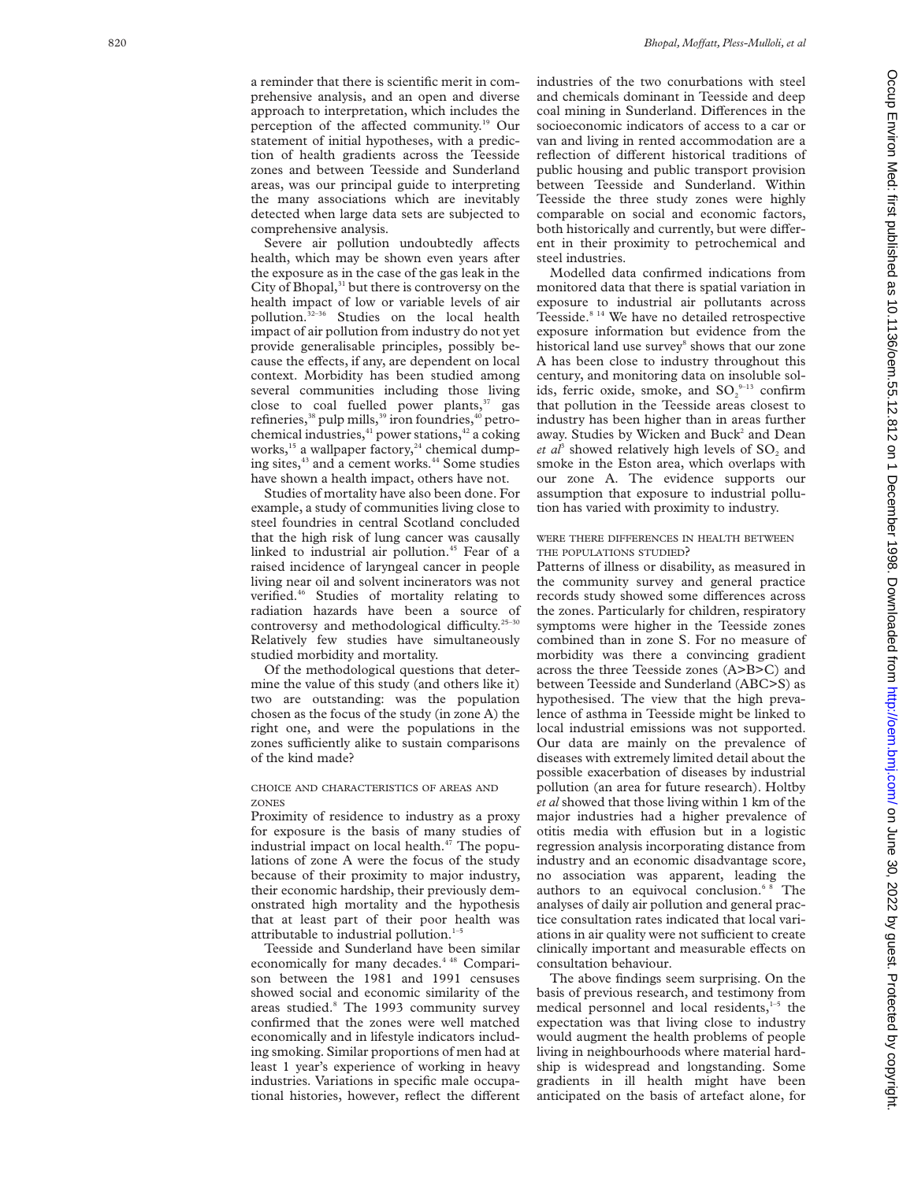a reminder that there is scientific merit in comprehensive analysis, and an open and diverse approach to interpretation, which includes the perception of the affected community.<sup>19</sup> Our statement of initial hypotheses, with a prediction of health gradients across the Teesside zones and between Teesside and Sunderland areas, was our principal guide to interpreting the many associations which are inevitably detected when large data sets are subjected to comprehensive analysis.

Severe air pollution undoubtedly affects health, which may be shown even years after the exposure as in the case of the gas leak in the City of Bhopal,<sup>31</sup> but there is controversy on the health impact of low or variable levels of air pollution.<sup>32-36</sup> Studies on the local health impact of air pollution from industry do not yet provide generalisable principles, possibly because the effects, if any, are dependent on local context. Morbidity has been studied among several communities including those living close to coal fuelled power plants, $37$  gas refineries, $38$  pulp mills, $39$  iron foundries, $40$  petrochemical industries,<sup>41</sup> power stations,<sup>42</sup> a coking works,<sup>15</sup> a wallpaper factory,<sup>24</sup> chemical dumping sites, $43$  and a cement works. $44$  Some studies have shown a health impact, others have not.

Studies of mortality have also been done. For example, a study of communities living close to steel foundries in central Scotland concluded that the high risk of lung cancer was causally linked to industrial air pollution.<sup>45</sup> Fear of a raised incidence of laryngeal cancer in people living near oil and solvent incinerators was not verified.46 Studies of mortality relating to radiation hazards have been a source of controversy and methodological difficulty.<sup>25-30</sup> Relatively few studies have simultaneously studied morbidity and mortality.

Of the methodological questions that determine the value of this study (and others like it) two are outstanding: was the population chosen as the focus of the study (in zone A) the right one, and were the populations in the zones sufficiently alike to sustain comparisons of the kind made?

### CHOICE AND CHARACTERISTICS OF AREAS AND ZONES

Proximity of residence to industry as a proxy for exposure is the basis of many studies of industrial impact on local health. $47$  The populations of zone A were the focus of the study because of their proximity to major industry, their economic hardship, their previously demonstrated high mortality and the hypothesis that at least part of their poor health was attributable to industrial pollution.<sup>1-5</sup>

Teesside and Sunderland have been similar economically for many decades.<sup>4 48</sup> Comparison between the 1981 and 1991 censuses showed social and economic similarity of the areas studied. <sup>8</sup> The 1993 community survey confirmed that the zones were well matched economically and in lifestyle indicators including smoking. Similar proportions of men had at least 1 year's experience of working in heavy industries. Variations in specific male occupational histories, however, reflect the different industries of the two conurbations with steel and chemicals dominant in Teesside and deep coal mining in Sunderland. Differences in the socioeconomic indicators of access to a car or van and living in rented accommodation are a reflection of different historical traditions of public housing and public transport provision between Teesside and Sunderland. Within Teesside the three study zones were highly comparable on social and economic factors, both historically and currently, but were different in their proximity to petrochemical and steel industries.

Modelled data confirmed indications from monitored data that there is spatial variation in exposure to industrial air pollutants across Teesside.8 14 We have no detailed retrospective exposure information but evidence from the historical land use survey <sup>8</sup> shows that our zone A has been close to industry throughout this century, and monitoring data on insoluble solids, ferric oxide, smoke, and  $\mathsf{SO}^{\,9-13}_2$  confirm that pollution in the Teesside areas closest to industry has been higher than in areas further away. Studies by Wicken and Buck <sup>2</sup> and Dean  $et \text{ } a l<sup>3</sup>$  showed relatively high levels of  $SO<sub>2</sub>$  and smoke in the Eston area, which overlaps with our zone A. The evidence supports our assumption that exposure to industrial pollution has varied with proximity to industry.

### WERE THERE DIFFERENCES IN HEALTH BETWEEN THE POPULATIONS STUDIED ?

Patterns of illness or disability, as measured in the community survey and general practice records study showed some differences across the zones. Particularly for children, respiratory symptoms were higher in the Teesside zones combined than in zone S. For no measure of morbidity was there a convincing gradient across the three Teesside zones (A>B>C) and between Teesside and Sunderland (ABC>S) as hypothesised. The view that the high prevalence of asthma in Teesside might be linked to local industrial emissions was not supported. Our data are mainly on the prevalence of diseases with extremely limited detail about the possible exacerbation of diseases by industrial pollution (an area for future research). Holtby *et al* showed that those living within 1 km of the major industries had a higher prevalence of otitis media with effusion but in a logistic regression analysis incorporating distance from industry and an economic disadvantage score, no association was apparent, leading the authors to an equivocal conclusion.<sup>68</sup> The analyses of daily air pollution and general practice consultation rates indicated that local variations in air quality were not sufficient to create clinically important and measurable effects on consultation behaviour.

The above findings seem surprising. On the basis of previous research, and testimony from medical personnel and local residents, $1-5$  the expectation was that living close to industry would augment the health problems of people living in neighbourhoods where material hardship is widespread and longstanding. Some gradients in ill health might have been anticipated on the basis of artefact alone, for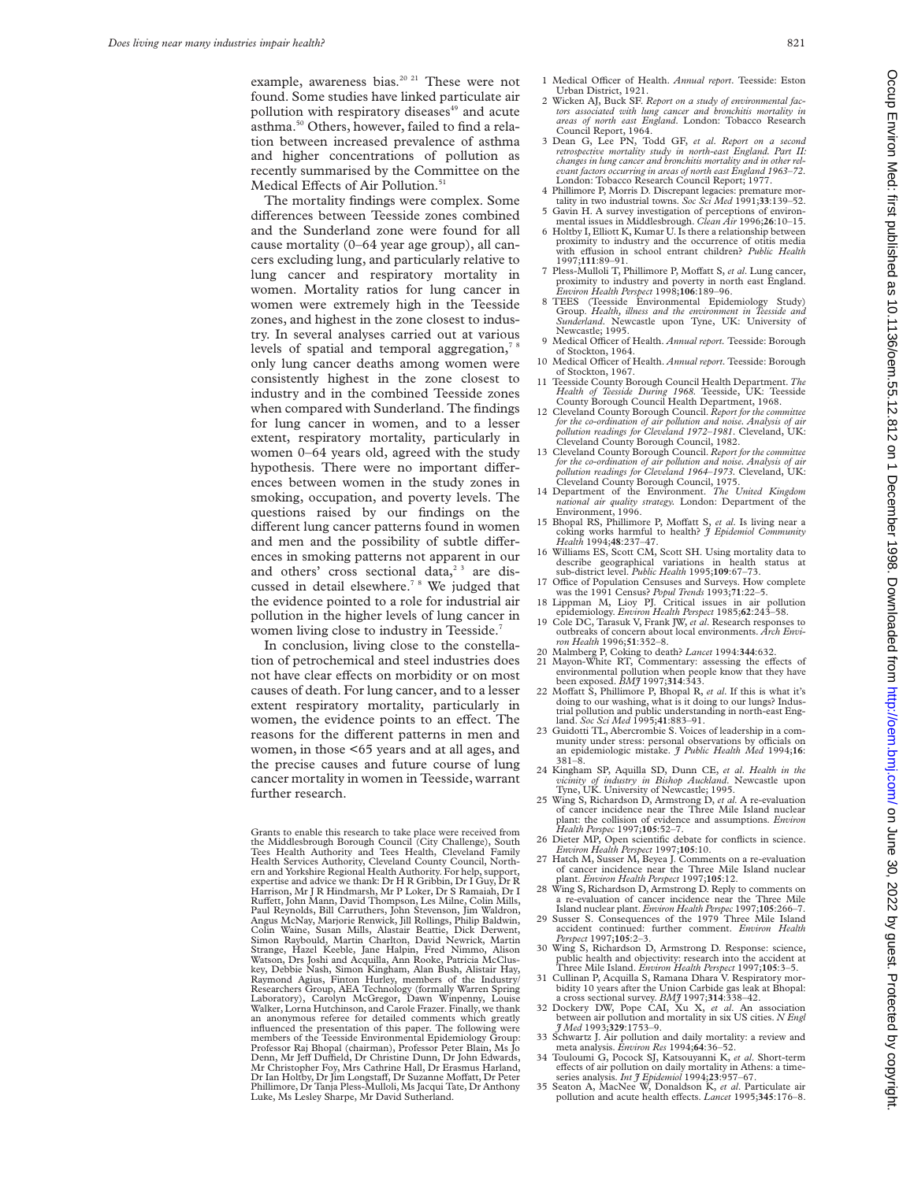example, awareness bias.<sup>20 21</sup> These were not found. Some studies have linked particulate air pollution with respiratory diseases<sup>49</sup> and acute asthma.<sup>50</sup> Others, however, failed to find a relation between increased prevalence of asthma and higher concentrations of pollution as recently summarised by the Committee on the Medical Effects of Air Pollution.<sup>51</sup>

The mortality findings were complex. Some differences between Teesside zones combined and the Sunderland zone were found for all cause mortality (0–64 year age group), all cancers excluding lung, and particularly relative to lung cancer and respiratory mortality in women. Mortality ratios for lung cancer in women were extremely high in the Teesside zones, and highest in the zone closest to industry. In several analyses carried out at various levels of spatial and temporal aggregation,<sup>78</sup> only lung cancer deaths among women were consistently highest in the zone closest to industry and in the combined Teesside zones when compared with Sunderland. The findings for lung cancer in women, and to a lesser extent, respiratory mortality, particularly in women 0–64 years old, agreed with the study hypothesis. There were no important differences between women in the study zones in smoking, occupation, and poverty levels. The questions raised by our findings on the different lung cancer patterns found in women and men and the possibility of subtle differences in smoking patterns not apparent in our and others' cross sectional data, $2^3$  are discussed in detail elsewhere.7 8 We judged that the evidence pointed to a role for industrial air pollution in the higher levels of lung cancer in women living close to industry in Teesside.<sup>7</sup>

In conclusion, living close to the constellation of petrochemical and steel industries does not have clear effects on morbidity or on most causes of death. For lung cancer, and to a lesser extent respiratory mortality, particularly in women, the evidence points to an effect. The reasons for the different patterns in men and women, in those <65 years and at all ages, and the precise causes and future course of lung cancer mortality in women in Teesside, warrant further research.

- 2 Wicken AJ, Buck SF. *Report on a study of environmental factors associated with lung cancer and bronchitis mortality in areas of north east England*. London: Tobacco Research Council Report, 1964.
- 3 Dean G, Lee PN, Todd GF, *et al*. *Report on a second retrospective mortality study in north-east England. Part II: changes in lung cancer and bronchitis mortality and in other relevant factors occurring in areas of north east England 1963–72*. London: Tobacco Research Council Report; 1977.
- 4 Phillimore P, Morris D. Discrepant legacies: premature mor-tality in two industrial towns. *Soc Sci Med* 1991;**33**:139–52.
- 5 Gavin H. A survey investigation of perceptions of environmental issues in Middlesbrough. *Clean Air* 1996;**26**:10–15.
- 6 Holtby I, Elliott K, Kumar U. Is there a relationship between proximity to industry and the occurrence of otitis media with effusion in school entrant children? Public Health in school entrant children? *Public Health* 1997;**111**:89–91.
- 7 Pless-Mulloli T, Phillimore P, Moffatt S, *et al.* Lung cancer, proximity to industry and poverty in north east England. *Environ Health Perspect* 1998;106:189-96.
- 8 TEES (Teesside Environmental Epidemiology Study) Group. *Health, illness and the environment in Teesside and Sunderland*. Newcastle upon Tyne, UK: University of Newcastle; 1995.
- 9 Medical Officer of Health. *Annual report*. Teesside: Borough of Stockton, 1964.
- 10 Medical Officer of Health. Annual report. Teesside: Borough of Stockton, 1967. 11 Teesside County Borough Council Health Department. *The*
- *Health of Teesside During 1968*. Teesside, UK: Teesside County Borough Council Health Department, 1968.
- 12 Cleveland County Borough Council. *Report for the committee for the co-ordination of air pollution and noise. Analysis of air pollution readings for Cleveland 1972–1981*. Cleveland, UK: Cleveland County Borough Council, 1982.
- 13 Cleveland County Borough Council. *Report for the committee for the co-ordination of air pollution and noise. Analysis of air pollution readings for Cleveland 1964–1973.* Cleveland, UK: Cleveland County Borough Council, 1975.
- 14 Department of the Environment. *The United Kingdom national air quality strategy.* London: Department of the Environment, 1996.
- 15 Bhopal RS, Phillimore P, Moffatt S, *et al.* Is living near a coking works harmful to health? *J Epidemiol Community Health* 1994;48:237-47.
- 16 Williams ES, Scott CM, Scott SH. Using mortality data to describe geographical variations in health status at sub-district level. *Public Health* 1995;**109**:67–73.
- 17 Office of Population Censuses and Surveys. How complete was the 1991 Census? *Popul Trends* 1993;71:22–5.
- 18 Lippman M, Lioy PJ. Critical issues in air pollution epidemiology. *Environ Health Perspect* 1985;**62**:243–58. 19 Cole DC, Tarasuk V, Frank JW, *et al*. Research responses to
- outbreaks of concern about local environments. *Arch Envi-ron Health* 1996;**51**:352–8.
- 
- 20 Malmberg P, Coking to death? *Lancet* 1994:**34**4:632.<br>
21 Mayon-White RT, Commentary: assessing the effects of<br>
environmental pollution when people know that they have<br>
been exposed. *BMJ* 1997;**314**:343.
- 22 Moffatt S, Phillimore P, Bhopal R, et al. If this is what it's doing to our washing, what is it doing to our lungs? Industrial pollution and public understanding in north-east Eng-land. *Soc Sci Med* 1995;**41**:883–91.
- 23 Guidotti TL, Abercrombie S. Voices of leadership in a com-<br>munity under stress: personal observations by officials on an epidemiologic mistake. *J Public Health Med* 1994;**16**: 381–8.
- 24 Kingham SP, Aquilla SD, Dunn CE, *et al*. *Health in the vicinity of industry in Bishop Auckland*. Newcastle upon Tyne, UK. University of Newcastle; 1995. 25 Wing S, Richardson D, Armstrong D, *et al*. A re-evaluation
- of cancer incidence near the Three Mile Island nuclear plant: the collision of evidence and assumptions. *Environ Health Perspec* 1997;**105**:52–7.
- 26 Dieter MP, Open scientific debate for conflicts in science. *Environ Health Perspect* 1997;**105**:10.
- 27 Hatch M, Susser M, Beyea J. Comments on a re-evaluation of cancer incidence near the Three Mile Island nuclear plant. *Environ Health Perspect* 1997;**105**:12.
- 28 Wing S, Richardson D, Armstrong D. Reply to comments a re-evaluation of cancer incidence near the Three Mile
- Island nuclear plant. *Environ Health Perspec* 1997;105:266-7.<br>29 Susser S. Consequences of the 1979 Three Mile Island<br>accident continued: further comment. *Environ Health*<br>*Perspect* 1997;105:2-3.
- Wing S, Richardson D, Armstrong D. Response: science, public health and objectivity: research into the accident at Three Mile Island. *Environ Health Perspect* 1997;**105**:3–5.
- 31 Cullinan P, Acquilla S, Ramana Dhara V. Respiratory mor-bidity 10 years after the Union Carbide gas leak at Bhopal: a cross sectional survey. *BMJ* 1997;**314**:338–42.
- 32 Dockery DW, Pope CAI, Xu X, *et al*. An association between air pollution and mortality in six US cities. *N Engl J Med* 1993;**329**:1753–9.
- 33 Schwartz J. Air pollution and daily mortality: a review and meta analysis. *Environ Res* 1994;**64**:36–52.
- 34 Touloumi G, Pocock SJ, Katsouyanni K, *et al.* Short-term effects of air pollution on daily mortality in Athens: a time-
- series analysis. *Int J Epidemiol* 1994;**23**:957–67. 35 Seaton A, MacNee W, Donaldson K, *et al*. Particulate air pollution and acute health effects. *Lancet* 1995;345:176-8.

Grants to enable this research to take place were received from the Middlesbrough Borough Council (City Challenge), South Tees Health Authority and Tees Health, Cleveland Family Health Services Authority, Cleveland County Council, North-ern and Yorkshire Regional Health Authority. For help, support, expertise and advice we thank: Dr H R Gribbin, Dr I Guy, Dr R Harrison, Mr J R Hindmarsh, Mr P Loker, Dr S Ramaiah, Dr I Ruffett, John Mann, David Thompson, Les Milne, Colin Mills,<br>Paul Reynolds, Bill Carruthers, John Stevenson, Jim Waldron, Angus McNay, Marjorie Renwick, Jill Rollings, Philip Baldwin, Colin Waine, Susan Mills, Alastair Beattie, Dick Derwent, Simon Raybould, Martin Charlton, David Newrick, Martin Strange, Hazel Keeble, Jane Halpin, Fred Nimmo, Alison Watson, Drs Joshi and Acquilla, Ann Rooke, Patricia McCluskey, Debbie Nash, Simon Kingham, Alan Bush, Alistair Hay, Raymond Agius, Finton Hurley, members of the Industry/ Researchers Group, AEA Technology (formally Warren Spring Laboratory), Carolyn McGregor, Dawn Winpenny, Louise Walker, Lorna Hutchinson, and Carole Frazer. Finally, we thank an anonymous referee for detailed comments which greatly influenced the presentation of this paper. The following were members of the Teesside Environmental Epidemiology Group Professor Raj Bhopal (chairman), Professor Peter Blain, Ms Jo Denn, Mr Jeff Duffield, Dr Christine Dunn, Dr John Edwards Mr Christopher Foy, Mrs Cathrine Hall, Dr Erasmus Harland, Dr Ian Holtby, Dr Jim LongstaV, Dr Suzanne MoVatt, Dr Peter Phillimore, Dr Tanja Pless-Mulloli, Ms Jacqui Tate, Dr Anthony Luke, Ms Lesley Sharpe, Mr David Sutherland.